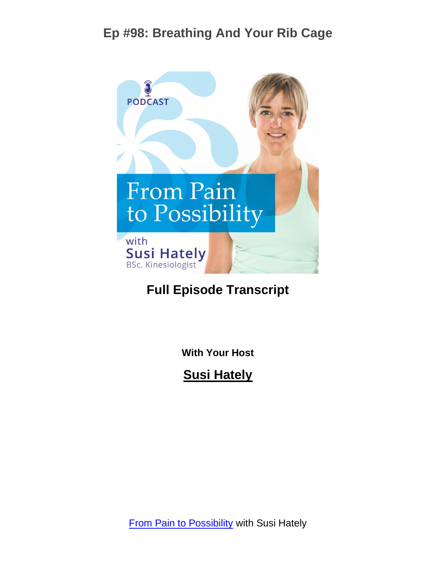

#### **Full Episode Transcript**

**With Your Host**

**Susi Hately**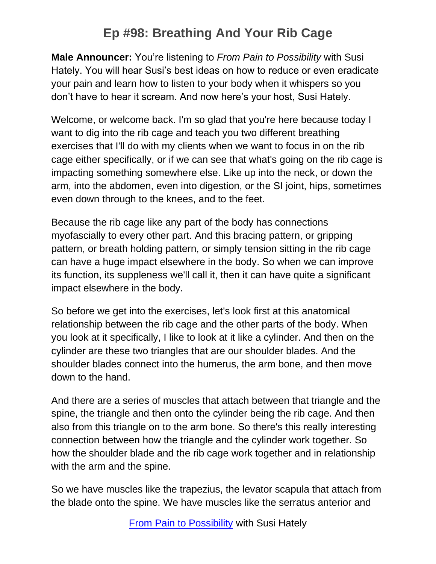**Male Announcer:** You're listening to *From Pain to Possibility* with Susi Hately. You will hear Susi's best ideas on how to reduce or even eradicate your pain and learn how to listen to your body when it whispers so you don't have to hear it scream. And now here's your host, Susi Hately.

Welcome, or welcome back. I'm so glad that you're here because today I want to dig into the rib cage and teach you two different breathing exercises that I'll do with my clients when we want to focus in on the rib cage either specifically, or if we can see that what's going on the rib cage is impacting something somewhere else. Like up into the neck, or down the arm, into the abdomen, even into digestion, or the SI joint, hips, sometimes even down through to the knees, and to the feet.

Because the rib cage like any part of the body has connections myofascially to every other part. And this bracing pattern, or gripping pattern, or breath holding pattern, or simply tension sitting in the rib cage can have a huge impact elsewhere in the body. So when we can improve its function, its suppleness we'll call it, then it can have quite a significant impact elsewhere in the body.

So before we get into the exercises, let's look first at this anatomical relationship between the rib cage and the other parts of the body. When you look at it specifically, I like to look at it like a cylinder. And then on the cylinder are these two triangles that are our shoulder blades. And the shoulder blades connect into the humerus, the arm bone, and then move down to the hand.

And there are a series of muscles that attach between that triangle and the spine, the triangle and then onto the cylinder being the rib cage. And then also from this triangle on to the arm bone. So there's this really interesting connection between how the triangle and the cylinder work together. So how the shoulder blade and the rib cage work together and in relationship with the arm and the spine.

So we have muscles like the trapezius, the levator scapula that attach from the blade onto the spine. We have muscles like the serratus anterior and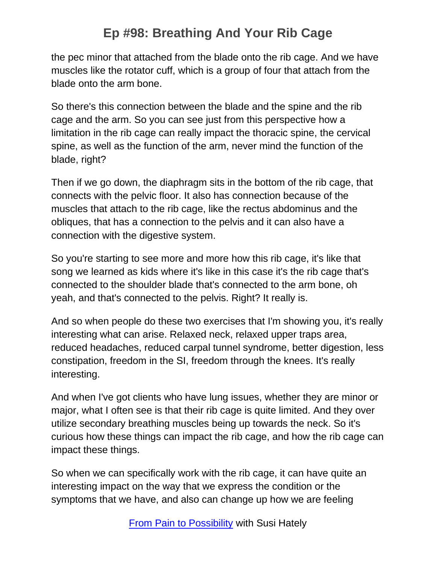the pec minor that attached from the blade onto the rib cage. And we have muscles like the rotator cuff, which is a group of four that attach from the blade onto the arm bone.

So there's this connection between the blade and the spine and the rib cage and the arm. So you can see just from this perspective how a limitation in the rib cage can really impact the thoracic spine, the cervical spine, as well as the function of the arm, never mind the function of the blade, right?

Then if we go down, the diaphragm sits in the bottom of the rib cage, that connects with the pelvic floor. It also has connection because of the muscles that attach to the rib cage, like the rectus abdominus and the obliques, that has a connection to the pelvis and it can also have a connection with the digestive system.

So you're starting to see more and more how this rib cage, it's like that song we learned as kids where it's like in this case it's the rib cage that's connected to the shoulder blade that's connected to the arm bone, oh yeah, and that's connected to the pelvis. Right? It really is.

And so when people do these two exercises that I'm showing you, it's really interesting what can arise. Relaxed neck, relaxed upper traps area, reduced headaches, reduced carpal tunnel syndrome, better digestion, less constipation, freedom in the SI, freedom through the knees. It's really interesting.

And when I've got clients who have lung issues, whether they are minor or major, what I often see is that their rib cage is quite limited. And they over utilize secondary breathing muscles being up towards the neck. So it's curious how these things can impact the rib cage, and how the rib cage can impact these things.

So when we can specifically work with the rib cage, it can have quite an interesting impact on the way that we express the condition or the symptoms that we have, and also can change up how we are feeling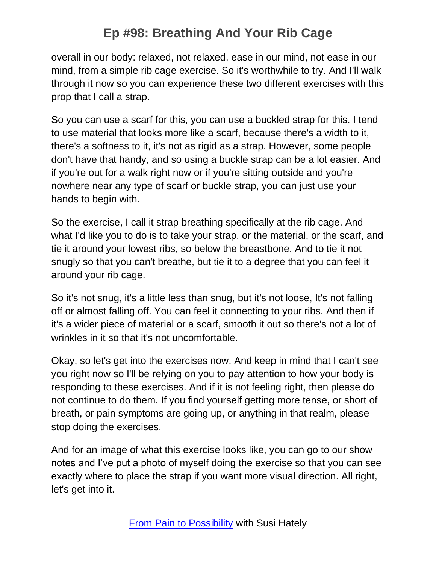overall in our body: relaxed, not relaxed, ease in our mind, not ease in our mind, from a simple rib cage exercise. So it's worthwhile to try. And I'll walk through it now so you can experience these two different exercises with this prop that I call a strap.

So you can use a scarf for this, you can use a buckled strap for this. I tend to use material that looks more like a scarf, because there's a width to it, there's a softness to it, it's not as rigid as a strap. However, some people don't have that handy, and so using a buckle strap can be a lot easier. And if you're out for a walk right now or if you're sitting outside and you're nowhere near any type of scarf or buckle strap, you can just use your hands to begin with.

So the exercise, I call it strap breathing specifically at the rib cage. And what I'd like you to do is to take your strap, or the material, or the scarf, and tie it around your lowest ribs, so below the breastbone. And to tie it not snugly so that you can't breathe, but tie it to a degree that you can feel it around your rib cage.

So it's not snug, it's a little less than snug, but it's not loose, It's not falling off or almost falling off. You can feel it connecting to your ribs. And then if it's a wider piece of material or a scarf, smooth it out so there's not a lot of wrinkles in it so that it's not uncomfortable.

Okay, so let's get into the exercises now. And keep in mind that I can't see you right now so I'll be relying on you to pay attention to how your body is responding to these exercises. And if it is not feeling right, then please do not continue to do them. If you find yourself getting more tense, or short of breath, or pain symptoms are going up, or anything in that realm, please stop doing the exercises.

And for an image of what this exercise looks like, you can go to our show notes and I've put a photo of myself doing the exercise so that you can see exactly where to place the strap if you want more visual direction. All right, let's get into it.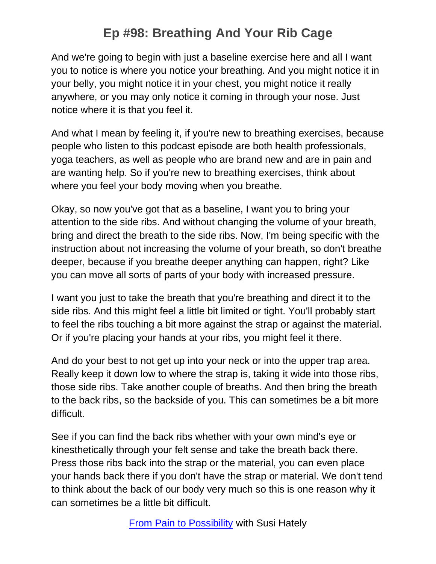And we're going to begin with just a baseline exercise here and all I want you to notice is where you notice your breathing. And you might notice it in your belly, you might notice it in your chest, you might notice it really anywhere, or you may only notice it coming in through your nose. Just notice where it is that you feel it.

And what I mean by feeling it, if you're new to breathing exercises, because people who listen to this podcast episode are both health professionals, yoga teachers, as well as people who are brand new and are in pain and are wanting help. So if you're new to breathing exercises, think about where you feel your body moving when you breathe.

Okay, so now you've got that as a baseline, I want you to bring your attention to the side ribs. And without changing the volume of your breath, bring and direct the breath to the side ribs. Now, I'm being specific with the instruction about not increasing the volume of your breath, so don't breathe deeper, because if you breathe deeper anything can happen, right? Like you can move all sorts of parts of your body with increased pressure.

I want you just to take the breath that you're breathing and direct it to the side ribs. And this might feel a little bit limited or tight. You'll probably start to feel the ribs touching a bit more against the strap or against the material. Or if you're placing your hands at your ribs, you might feel it there.

And do your best to not get up into your neck or into the upper trap area. Really keep it down low to where the strap is, taking it wide into those ribs, those side ribs. Take another couple of breaths. And then bring the breath to the back ribs, so the backside of you. This can sometimes be a bit more difficult.

See if you can find the back ribs whether with your own mind's eye or kinesthetically through your felt sense and take the breath back there. Press those ribs back into the strap or the material, you can even place your hands back there if you don't have the strap or material. We don't tend to think about the back of our body very much so this is one reason why it can sometimes be a little bit difficult.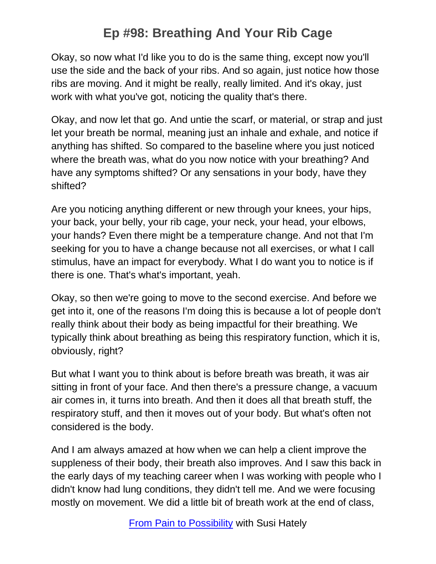Okay, so now what I'd like you to do is the same thing, except now you'll use the side and the back of your ribs. And so again, just notice how those ribs are moving. And it might be really, really limited. And it's okay, just work with what you've got, noticing the quality that's there.

Okay, and now let that go. And untie the scarf, or material, or strap and just let your breath be normal, meaning just an inhale and exhale, and notice if anything has shifted. So compared to the baseline where you just noticed where the breath was, what do you now notice with your breathing? And have any symptoms shifted? Or any sensations in your body, have they shifted?

Are you noticing anything different or new through your knees, your hips, your back, your belly, your rib cage, your neck, your head, your elbows, your hands? Even there might be a temperature change. And not that I'm seeking for you to have a change because not all exercises, or what I call stimulus, have an impact for everybody. What I do want you to notice is if there is one. That's what's important, yeah.

Okay, so then we're going to move to the second exercise. And before we get into it, one of the reasons I'm doing this is because a lot of people don't really think about their body as being impactful for their breathing. We typically think about breathing as being this respiratory function, which it is, obviously, right?

But what I want you to think about is before breath was breath, it was air sitting in front of your face. And then there's a pressure change, a vacuum air comes in, it turns into breath. And then it does all that breath stuff, the respiratory stuff, and then it moves out of your body. But what's often not considered is the body.

And I am always amazed at how when we can help a client improve the suppleness of their body, their breath also improves. And I saw this back in the early days of my teaching career when I was working with people who I didn't know had lung conditions, they didn't tell me. And we were focusing mostly on movement. We did a little bit of breath work at the end of class,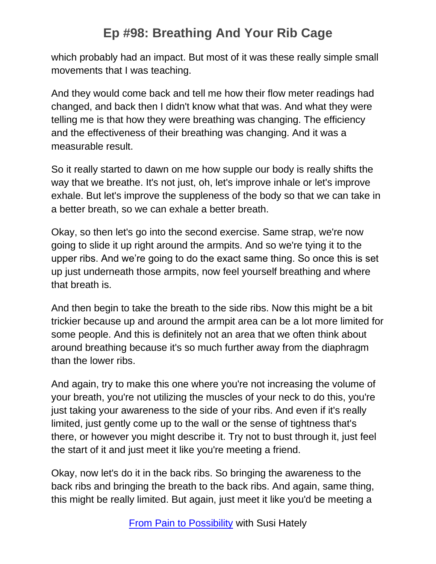which probably had an impact. But most of it was these really simple small movements that I was teaching.

And they would come back and tell me how their flow meter readings had changed, and back then I didn't know what that was. And what they were telling me is that how they were breathing was changing. The efficiency and the effectiveness of their breathing was changing. And it was a measurable result.

So it really started to dawn on me how supple our body is really shifts the way that we breathe. It's not just, oh, let's improve inhale or let's improve exhale. But let's improve the suppleness of the body so that we can take in a better breath, so we can exhale a better breath.

Okay, so then let's go into the second exercise. Same strap, we're now going to slide it up right around the armpits. And so we're tying it to the upper ribs. And we're going to do the exact same thing. So once this is set up just underneath those armpits, now feel yourself breathing and where that breath is.

And then begin to take the breath to the side ribs. Now this might be a bit trickier because up and around the armpit area can be a lot more limited for some people. And this is definitely not an area that we often think about around breathing because it's so much further away from the diaphragm than the lower ribs.

And again, try to make this one where you're not increasing the volume of your breath, you're not utilizing the muscles of your neck to do this, you're just taking your awareness to the side of your ribs. And even if it's really limited, just gently come up to the wall or the sense of tightness that's there, or however you might describe it. Try not to bust through it, just feel the start of it and just meet it like you're meeting a friend.

Okay, now let's do it in the back ribs. So bringing the awareness to the back ribs and bringing the breath to the back ribs. And again, same thing, this might be really limited. But again, just meet it like you'd be meeting a